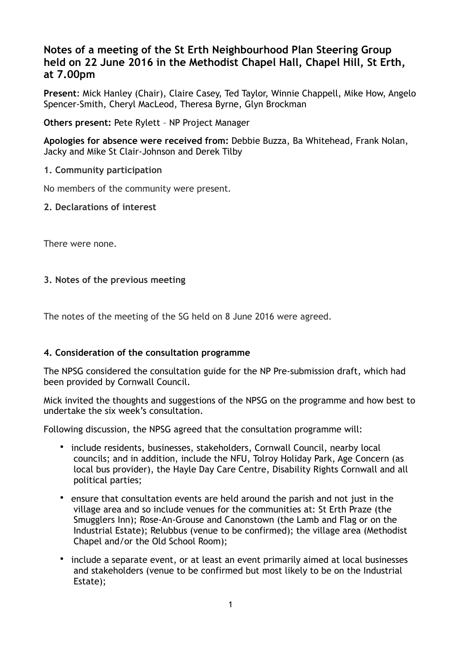# **Notes of a meeting of the St Erth Neighbourhood Plan Steering Group held on 22 June 2016 in the Methodist Chapel Hall, Chapel Hill, St Erth, at 7.00pm**

**Present**: Mick Hanley (Chair), Claire Casey, Ted Taylor, Winnie Chappell, Mike How, Angelo Spencer-Smith, Cheryl MacLeod, Theresa Byrne, Glyn Brockman

**Others present:** Pete Rylett – NP Project Manager

**Apologies for absence were received from:** Debbie Buzza, Ba Whitehead, Frank Nolan, Jacky and Mike St Clair-Johnson and Derek Tilby

## **1. Community participation**

No members of the community were present.

### **2. Declarations of interest**

There were none.

### **3. Notes of the previous meeting**

The notes of the meeting of the SG held on 8 June 2016 were agreed.

### **4. Consideration of the consultation programme**

The NPSG considered the consultation guide for the NP Pre-submission draft, which had been provided by Cornwall Council.

Mick invited the thoughts and suggestions of the NPSG on the programme and how best to undertake the six week's consultation.

Following discussion, the NPSG agreed that the consultation programme will:

- include residents, businesses, stakeholders, Cornwall Council, nearby local councils; and in addition, include the NFU, Tolroy Holiday Park, Age Concern (as local bus provider), the Hayle Day Care Centre, Disability Rights Cornwall and all political parties;
- ensure that consultation events are held around the parish and not just in the village area and so include venues for the communities at: St Erth Praze (the Smugglers Inn); Rose-An-Grouse and Canonstown (the Lamb and Flag or on the Industrial Estate); Relubbus (venue to be confirmed); the village area (Methodist Chapel and/or the Old School Room);
- include a separate event, or at least an event primarily aimed at local businesses and stakeholders (venue to be confirmed but most likely to be on the Industrial Estate);